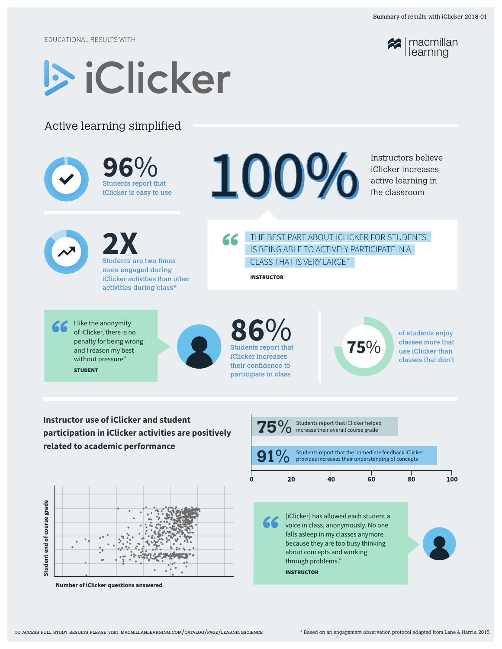EDUCATIONAL RESULTS WITH



## Active learning simplified

|                                                                                                                          |                | $96\%$<br>Students report that<br>iClicker is easy to use                                                                               |                                                                                                                                                                                                                                   | 100                                                                                                                                                    |                     |    |                                                                             |                                                                                                            | Instructors believe<br>iClicker increases<br>active learning in<br>the classroom  |     |
|--------------------------------------------------------------------------------------------------------------------------|----------------|-----------------------------------------------------------------------------------------------------------------------------------------|-----------------------------------------------------------------------------------------------------------------------------------------------------------------------------------------------------------------------------------|--------------------------------------------------------------------------------------------------------------------------------------------------------|---------------------|----|-----------------------------------------------------------------------------|------------------------------------------------------------------------------------------------------------|-----------------------------------------------------------------------------------|-----|
| 2X<br><b>Students are two times</b><br>more engaged during<br>iClicker activities than other<br>activities during class* |                |                                                                                                                                         |                                                                                                                                                                                                                                   | THE BEST PART ABOUT ICLICKER FOR STUDENTS<br>66<br>IS BEING ABLE TO ACTIVELY PARTICIPATE IN A<br><b>CLASS THAT IS VERY LARGE"</b><br><b>INSTRUCTOR</b> |                     |    |                                                                             |                                                                                                            |                                                                                   |     |
|                                                                                                                          | <b>STUDENT</b> | I like the anonymity<br>of iClicker, there is no<br>penalty for being wrong<br>and I reason my best<br>without pressure"                |                                                                                                                                                                                                                                   | $86\%$<br>Students report that<br>iClicker increases<br>their confidence to<br>participate in class                                                    |                     |    |                                                                             | 75%                                                                                                        | of students enjoy<br>classes more that<br>use iClicker than<br>classes that don't |     |
|                                                                                                                          |                | <b>Instructor use of iClicker and student</b><br>participation in iClicker activities are positively<br>related to academic performance |                                                                                                                                                                                                                                   |                                                                                                                                                        | ${\bf 75\%}$<br>91% |    | Students report that iClicker helped<br>increase their overall course grade | Students report that the immediate feedback iClicker<br>provides increases their understanding of concepts |                                                                                   |     |
|                                                                                                                          |                |                                                                                                                                         |                                                                                                                                                                                                                                   |                                                                                                                                                        |                     | 20 | 40                                                                          | 60                                                                                                         | 80                                                                                | 100 |
| grade<br>Student end of course                                                                                           |                |                                                                                                                                         | [iClicker] has allowed each student a<br>voice in class, anonymously. No one<br>falls asleep in my classes anymore<br>because they are too busy thinking<br>about concepts and working<br>through problems."<br><b>INSTRUCTOR</b> |                                                                                                                                                        |                     |    |                                                                             |                                                                                                            |                                                                                   |     |



**Number of iClicker questions answered**